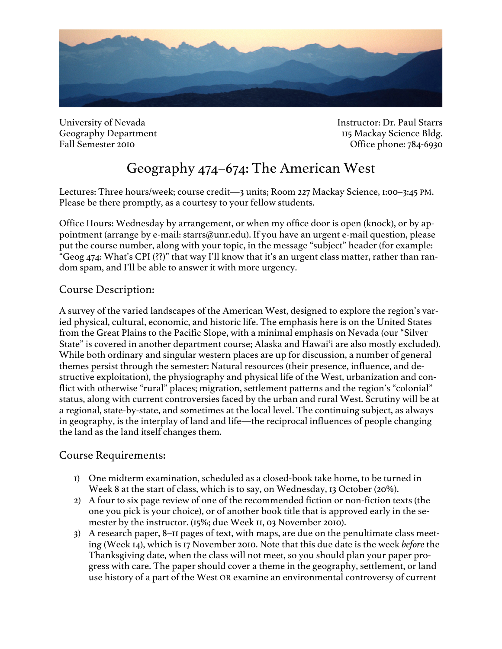

University of Nevada **Instructor: Dr. Paul Starrs** Geography Department 115 Mackay Science Bldg. Fall Semester 2010 Contract 2010 Contract 2010 Contract 2010 Contract 2010 Contract 2010 Contract 2010 Contract 2010

# Geography 474–674: The American West

Lectures: Three hours/week; course credit—3 units; Room 227 Mackay Science, 1:00–3:45 PM. Please be there promptly, as a courtesy to your fellow students.

Office Hours: Wednesday by arrangement, or when my office door is open (knock), or by appointment (arrange by e-mail: starrs@unr.edu). If you have an urgent e-mail question, please put the course number, along with your topic, in the message "subject" header (for example: "Geog 474: What's CPI (??)" that way I'll know that it's an urgent class matter, rather than random spam, and I'll be able to answer it with more urgency.

## Course Description:

A survey of the varied landscapes of the American West, designed to explore the region's varied physical, cultural, economic, and historic life. The emphasis here is on the United States from the Great Plains to the Pacific Slope, with a minimal emphasis on Nevada (our "Silver State" is covered in another department course; Alaska and Hawai'i are also mostly excluded). While both ordinary and singular western places are up for discussion, a number of general themes persist through the semester: Natural resources (their presence, influence, and destructive exploitation), the physiography and physical life of the West, urbanization and conflict with otherwise "rural" places; migration, settlement patterns and the region's "colonial" status, along with current controversies faced by the urban and rural West. Scrutiny will be at a regional, state-by-state, and sometimes at the local level. The continuing subject, as always in geography, is the interplay of land and life—the reciprocal influences of people changing the land as the land itself changes them.

### Course Requirements:

- 1) One midterm examination, scheduled as a closed-book take home, to be turned in Week 8 at the start of class, which is to say, on Wednesday, 13 October (20%).
- 2) A four to six page review of one of the recommended fiction or non-fiction texts (the one you pick is your choice), or of another book title that is approved early in the semester by the instructor. (15%; due Week 11, 03 November 2010).
- 3) A research paper, 8–11 pages of text, with maps, are due on the penultimate class meeting (Week 14), which is 17 November 2010. Note that this due date is the week *before* the Thanksgiving date, when the class will not meet, so you should plan your paper progress with care. The paper should cover a theme in the geography, settlement, or land use history of a part of the West OR examine an environmental controversy of current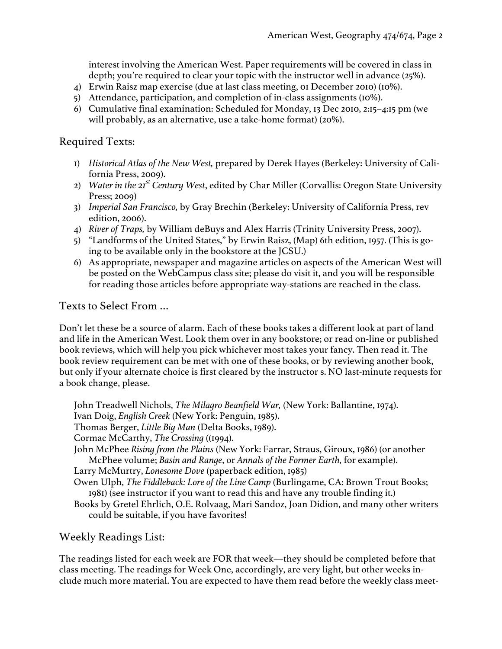interest involving the American West. Paper requirements will be covered in class in depth; you're required to clear your topic with the instructor well in advance (25%).

- 4) Erwin Raisz map exercise (due at last class meeting, 01 December 2010) (10%).
- 5) Attendance, participation, and completion of in-class assignments (10%).
- 6) Cumulative final examination: Scheduled for Monday, 13 Dec 2010, 2:15–4:15 pm (we will probably, as an alternative, use a take-home format) (20%).

#### Required Texts:

- 1) *Historical Atlas of the New West,* prepared by Derek Hayes (Berkeley: University of California Press, 2009).
- 2) *Water in the 21st Century West*, edited by Char Miller (Corvallis: Oregon State University Press; 2009)
- 3) *Imperial San Francisco,* by Gray Brechin (Berkeley: University of California Press, rev edition, 2006).
- 4) *River of Traps,* by William deBuys and Alex Harris (Trinity University Press, 2007).
- 5) "Landforms of the United States," by Erwin Raisz, (Map) 6th edition, 1957. (This is going to be available only in the bookstore at the JCSU.)
- 6) As appropriate, newspaper and magazine articles on aspects of the American West will be posted on the WebCampus class site; please do visit it, and you will be responsible for reading those articles before appropriate way-stations are reached in the class.

### Texts to Select From …

Don't let these be a source of alarm. Each of these books takes a different look at part of land and life in the American West. Look them over in any bookstore; or read on-line or published book reviews, which will help you pick whichever most takes your fancy. Then read it. The book review requirement can be met with one of these books, or by reviewing another book, but only if your alternate choice is first cleared by the instructor s. NO last-minute requests for a book change, please.

John Treadwell Nichols, *The Milagro Beanfield War,* (New York: Ballantine, 1974). Ivan Doig, *English Creek* (New York: Penguin, 1985).

Thomas Berger, *Little Big Man* (Delta Books, 1989).

Cormac McCarthy, *The Crossing* ((1994).

- John McPhee *Rising from the Plains* (New York: Farrar, Straus, Giroux, 1986) (or another McPhee volume; *Basin and Range*, or *Annals of the Former Earth,* for example).
- Larry McMurtry, *Lonesome Dove* (paperback edition, 1985)

Owen Ulph, *The Fiddleback: Lore of the Line Camp* (Burlingame, CA: Brown Trout Books; 1981) (see instructor if you want to read this and have any trouble finding it.)

Books by Gretel Ehrlich, O.E. Rolvaag, Mari Sandoz, Joan Didion, and many other writers could be suitable, if you have favorites!

### Weekly Readings List:

The readings listed for each week are FOR that week—they should be completed before that class meeting. The readings for Week One, accordingly, are very light, but other weeks include much more material. You are expected to have them read before the weekly class meet-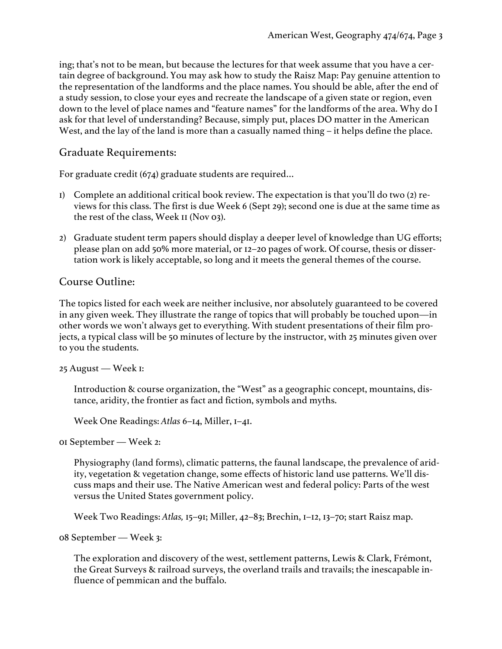ing; that's not to be mean, but because the lectures for that week assume that you have a certain degree of background. You may ask how to study the Raisz Map: Pay genuine attention to the representation of the landforms and the place names. You should be able, after the end of a study session, to close your eyes and recreate the landscape of a given state or region, even down to the level of place names and "feature names" for the landforms of the area. Why do I ask for that level of understanding? Because, simply put, places DO matter in the American West, and the lay of the land is more than a casually named thing – it helps define the place.

### Graduate Requirements:

For graduate credit (674) graduate students are required…

- 1) Complete an additional critical book review. The expectation is that you'll do two (2) reviews for this class. The first is due Week 6 (Sept 29); second one is due at the same time as the rest of the class, Week 11 (Nov 03).
- 2) Graduate student term papers should display a deeper level of knowledge than UG efforts; please plan on add 50% more material, or 12–20 pages of work. Of course, thesis or dissertation work is likely acceptable, so long and it meets the general themes of the course.

### Course Outline:

The topics listed for each week are neither inclusive, nor absolutely guaranteed to be covered in any given week. They illustrate the range of topics that will probably be touched upon—in other words we won't always get to everything. With student presentations of their film projects, a typical class will be 50 minutes of lecture by the instructor, with 25 minutes given over to you the students.

25 August — Week 1:

Introduction & course organization, the "West" as a geographic concept, mountains, distance, aridity, the frontier as fact and fiction, symbols and myths.

Week One Readings: *Atlas* 6–14, Miller, 1–41.

01 September — Week 2:

Physiography (land forms), climatic patterns, the faunal landscape, the prevalence of aridity, vegetation & vegetation change, some effects of historic land use patterns. We'll discuss maps and their use. The Native American west and federal policy: Parts of the west versus the United States government policy.

Week Two Readings: *Atlas,* 15–91; Miller, 42–83; Brechin, 1–12, 13–70; start Raisz map.

08 September — Week 3:

The exploration and discovery of the west, settlement patterns, Lewis & Clark, Frémont, the Great Surveys & railroad surveys, the overland trails and travails; the inescapable influence of pemmican and the buffalo.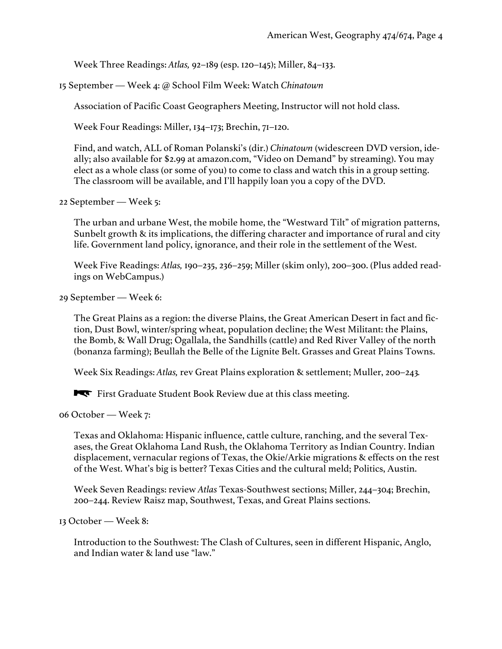Week Three Readings: *Atlas,* 92–189 (esp. 120–145); Miller, 84–133.

15 September — Week 4: @ School Film Week: Watch *Chinatown*

Association of Pacific Coast Geographers Meeting, Instructor will not hold class.

Week Four Readings: Miller, 134–173; Brechin, 71–120.

Find, and watch, ALL of Roman Polanski's (dir.) *Chinatown* (widescreen DVD version, ideally; also available for \$2.99 at amazon.com, "Video on Demand" by streaming). You may elect as a whole class (or some of you) to come to class and watch this in a group setting. The classroom will be available, and I'll happily loan you a copy of the DVD.

22 September — Week 5:

The urban and urbane West, the mobile home, the "Westward Tilt" of migration patterns, Sunbelt growth & its implications, the differing character and importance of rural and city life. Government land policy, ignorance, and their role in the settlement of the West.

Week Five Readings: *Atlas,* 190–235, 236–259; Miller (skim only), 200–300. (Plus added readings on WebCampus.)

29 September — Week 6:

The Great Plains as a region: the diverse Plains, the Great American Desert in fact and fiction, Dust Bowl, winter/spring wheat, population decline; the West Militant: the Plains, the Bomb, & Wall Drug; Ogallala, the Sandhills (cattle) and Red River Valley of the north (bonanza farming); Beullah the Belle of the Lignite Belt. Grasses and Great Plains Towns.

Week Six Readings: *Atlas,* rev Great Plains exploration & settlement; Muller, 200–243*.*

First Graduate Student Book Review due at this class meeting.

06 October — Week 7:

Texas and Oklahoma: Hispanic influence, cattle culture, ranching, and the several Texases, the Great Oklahoma Land Rush, the Oklahoma Territory as Indian Country. Indian displacement, vernacular regions of Texas, the Okie/Arkie migrations & effects on the rest of the West. What's big is better? Texas Cities and the cultural meld; Politics, Austin.

Week Seven Readings: review *Atlas* Texas-Southwest sections; Miller, 244–304; Brechin, 200–244. Review Raisz map, Southwest, Texas, and Great Plains sections.

13 October — Week 8:

Introduction to the Southwest: The Clash of Cultures, seen in different Hispanic, Anglo, and Indian water & land use "law."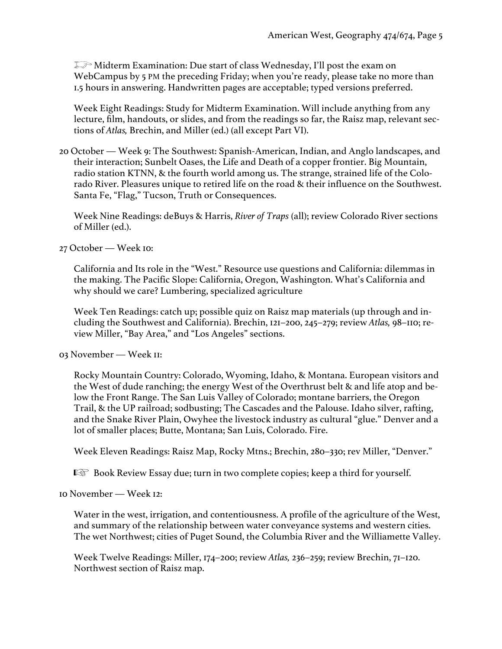Midterm Examination: Due start of class Wednesday, I'll post the exam on WebCampus by 5 PM the preceding Friday; when you're ready, please take no more than 1.5 hours in answering. Handwritten pages are acceptable; typed versions preferred.

Week Eight Readings: Study for Midterm Examination. Will include anything from any lecture, film, handouts, or slides, and from the readings so far, the Raisz map, relevant sections of *Atlas,* Brechin, and Miller (ed.) (all except Part VI).

20 October — Week 9: The Southwest: Spanish-American, Indian, and Anglo landscapes, and their interaction; Sunbelt Oases, the Life and Death of a copper frontier. Big Mountain, radio station KTNN, & the fourth world among us. The strange, strained life of the Colorado River. Pleasures unique to retired life on the road & their influence on the Southwest. Santa Fe, "Flag," Tucson, Truth or Consequences.

Week Nine Readings: deBuys & Harris, *River of Traps* (all); review Colorado River sections of Miller (ed.).

27 October — Week 10:

California and Its role in the "West." Resource use questions and California: dilemmas in the making. The Pacific Slope: California, Oregon, Washington. What's California and why should we care? Lumbering, specialized agriculture

Week Ten Readings: catch up; possible quiz on Raisz map materials (up through and including the Southwest and California). Brechin, 121–200, 245–279; review *Atlas,* 98–110; review Miller, "Bay Area," and "Los Angeles" sections.

03 November — Week 11:

Rocky Mountain Country: Colorado, Wyoming, Idaho, & Montana. European visitors and the West of dude ranching; the energy West of the Overthrust belt & and life atop and below the Front Range. The San Luis Valley of Colorado; montane barriers, the Oregon Trail, & the UP railroad; sodbusting; The Cascades and the Palouse. Idaho silver, rafting, and the Snake River Plain, Owyhee the livestock industry as cultural "glue." Denver and a lot of smaller places; Butte, Montana; San Luis, Colorado. Fire.

Week Eleven Readings: Raisz Map, Rocky Mtns.; Brechin, 280–330; rev Miller, "Denver."

 $I \otimes$  Book Review Essay due; turn in two complete copies; keep a third for yourself.

10 November — Week 12:

Water in the west, irrigation, and contentiousness. A profile of the agriculture of the West, and summary of the relationship between water conveyance systems and western cities. The wet Northwest; cities of Puget Sound, the Columbia River and the Williamette Valley.

Week Twelve Readings: Miller, 174–200; review *Atlas,* 236–259; review Brechin, 71–120. Northwest section of Raisz map.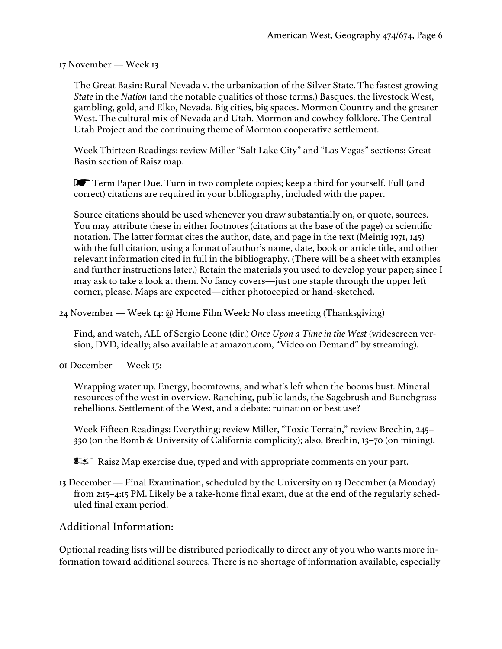17 November — Week 13

The Great Basin: Rural Nevada v. the urbanization of the Silver State. The fastest growing *State* in the *Nation* (and the notable qualities of those terms.) Basques, the livestock West, gambling, gold, and Elko, Nevada. Big cities, big spaces. Mormon Country and the greater West. The cultural mix of Nevada and Utah. Mormon and cowboy folklore. The Central Utah Project and the continuing theme of Mormon cooperative settlement.

Week Thirteen Readings: review Miller "Salt Lake City" and "Las Vegas" sections; Great Basin section of Raisz map.

 $\blacksquare$  Term Paper Due. Turn in two complete copies; keep a third for yourself. Full (and correct) citations are required in your bibliography, included with the paper.

Source citations should be used whenever you draw substantially on, or quote, sources. You may attribute these in either footnotes (citations at the base of the page) or scientific notation. The latter format cites the author, date, and page in the text (Meinig 1971, 145) with the full citation, using a format of author's name, date, book or article title, and other relevant information cited in full in the bibliography. (There will be a sheet with examples and further instructions later.) Retain the materials you used to develop your paper; since I may ask to take a look at them. No fancy covers—just one staple through the upper left corner, please. Maps are expected—either photocopied or hand-sketched.

24 November — Week 14: @ Home Film Week: No class meeting (Thanksgiving)

Find, and watch, ALL of Sergio Leone (dir.) *Once Upon a Time in the West* (widescreen version, DVD, ideally; also available at amazon.com, "Video on Demand" by streaming).

01 December — Week 15:

Wrapping water up. Energy, boomtowns, and what's left when the booms bust. Mineral resources of the west in overview. Ranching, public lands, the Sagebrush and Bunchgrass rebellions. Settlement of the West, and a debate: ruination or best use?

Week Fifteen Readings: Everything; review Miller, "Toxic Terrain," review Brechin, 245– 330 (on the Bomb & University of California complicity); also, Brechin, 13–70 (on mining).

**I** Raisz Map exercise due, typed and with appropriate comments on your part.

13 December — Final Examination, scheduled by the University on 13 December (a Monday) from 2:15–4:15 PM. Likely be a take-home final exam, due at the end of the regularly scheduled final exam period.

Additional Information:

Optional reading lists will be distributed periodically to direct any of you who wants more information toward additional sources. There is no shortage of information available, especially